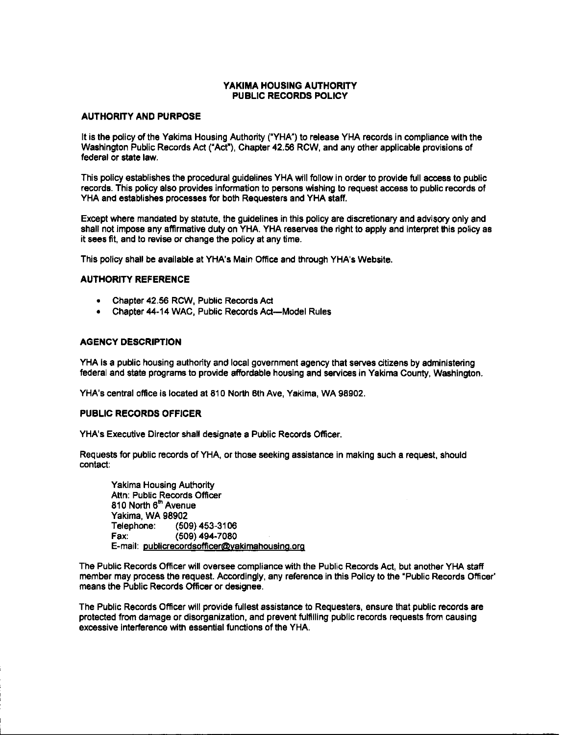#### YAKIMA HOUSING AUTHORITY PUBLIC RECORDS POLICY

#### **AUTHORITY AND PURPOSE**

It is the policy of the Yakima Housing Authority ("YHA") to release YHA records in compliance with the Washington Public Records Act ("Act"), Chapter 42.56 RCW, and any other applicable provisions of federal or state law.

This policy establishes the procedural guidelines YHA will follow in order to provide full access to public records. This policy also provides information to persons wishing to request access to public records of YHA and establishes processes for both Requesters and YHA staff.

Except where mandated by statute, the guidelines in this policy are discretionary and advisory only and shall not impose any affirmative duty on YHA. YHA reserves the right to apply and interpret this policy as it sees fit, and to revise or change the policy at any time.

This policy shall be available at YHA's Main Office and through YHA's Website.

#### **AUTHORITY REFERENCE**

- Chapter 42.56 RCW, Public Records Act
- Chapter 44-14 WAC, Public Records Act-Model Rules

#### **AGENCY DESCRIPTION**

YHA is a public housing authority and local government agency that serves citizens by administering federal and state programs to provide affordable housing and services in Yakima County, Washington.

YHA's central office is located at 810 North 6th Ave, Yakima, WA 98902.

#### **PUBLIC RECORDS OFFICER**

YHA's Executive Director shall designate a Public Records Officer.

Requests for public records of YHA, or those seeking assistance in making such a request, should contact:

**Yakima Housing Authority** Attn: Public Records Officer 810 North 6<sup>th</sup> Avenue **Yakima, WA 98902** Telephone: (509) 453-3106  $(509)$  494-7080 Fax: E-mail: publicrecordsofficer@yakimahousing.org

The Public Records Officer will oversee compliance with the Public Records Act, but another YHA staff member may process the request. Accordingly, any reference in this Policy to the "Public Records Officer" means the Public Records Officer or designee.

The Public Records Officer will provide fullest assistance to Requesters, ensure that public records are protected from damage or disorganization, and prevent fulfilling public records requests from causing excessive interference with essential functions of the YHA.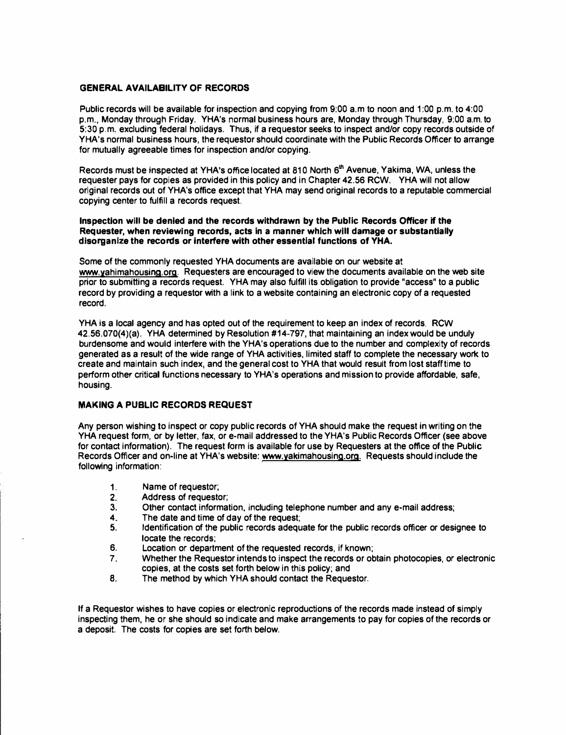#### **GENERAL AVAILABILITY OF RECORDS**

**Public records will be available for inspection and copying from 9:00 a.m to noon and 1 :00 p.m. to 4:00 p.m., Monday through Friday. YHA's normal business hours are, Monday through Thursday, 9:00 a.m. to 5:30 p.m. excluding federal holidays. Thus, if a requester seeks to inspect and/or copy records outside of YHA's normal business hours, the requester should coordinate with the Public Records Officer to arrange for mutually agreeable times for inspection and/or copying.**

**Records must be inspected at YHA's office located at 810 North 6** th **Avenue, Yakima, WA, unless the requester pays for copies as provided in this policy and in Chapter 42.56 RCW. YHA will not allow original records out of YHA's office except that YHA may send original records to a reputable commercial copying center to fulfill a records request.** 

#### **Inspection will be denied and the records withdrawn by the Public; Records Officer if the Requester, when reviewing records, acts In a manner which will damage or substantially disorganize the records or interfere with other essential functions of YHA.**

**Some of the commonly requested YHA documents are available on our website at www.yahimahousing.org. Requesters are encouraged to view the documents available on the web site prior to submitting a records request. YHA may also fulfill its obligation to provide "access" to a public record by providing a requester with a link to a website containing an electronic copy of a requested record.** 

**YHA is a local agency and has opted out of the requirement to keep an index of records. RCW 42.56.070(4)(a). YHA determined by Resolution #14-797, that maintaining an index would be unduly burdensome and would interfere with the YHA's operations due to the number and complexity of records generated as a result of the wide range of YHA activities, limited staff to complete the necessary work to create and maintain such index, and the general cost to YHA that would result from lost stafftime to perform other critical functions necessary to YHA's operations and mission to provide affordable, safe, housing.** 

#### **MAKING A PUBLIC RECORDS REQUEST**

**Any person wishing to inspect or copy public records of YHA should make the request in writing on the YHA request form, or by letter, fax, or e-mail addressed to the YHA's Public Records Officer (see above for contact information). The request form is available for use by Requesters at the office of the Public Records Officer and on-line at YHA's website: www.yakimahousing.org. Requests should include the following information:** 

- 
- 1. **Name of requestor;**<br>2. **Address of requester 2. Address of requester;**
- **3. Other contact information, including telephone number and any e-mail address;**
- **4. The date and time of day of the request;**
- **5. Identification of the public records adequate for the public records officer or designee to locate the records;**
- **6. Location or department of the requested records, if known;**
- **7. Whether the Requester intends to inspect the records or obtain photocopies, or electronic copies, at the costs set forth below in this policy; and**
- **8. The method by which YHA should contact the Requester.**

**If a Requester wishes to have copies or electronic reproductions of the records made instead of simply inspecting them, he or she should so indicate and make arrangements to pay for copies of the records or a deposit. The costs for copies are set forth below.**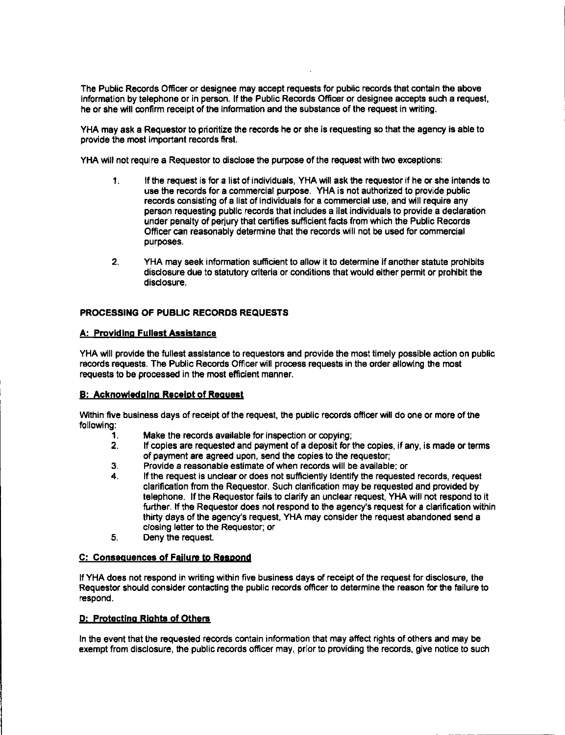The Public Records Officer or designee may accept requests for public records that contain the above information by telephone or in person. If the Public Records Officer or designee accepts such a request, he or she will confirm receipt of the information and the substance of the request in writing.

YHA may ask a Requestor to prioritize the records he or she is requesting so that the agency is able to provide the most important records first.

YHA will not require a Requestor to disclose the purpose of the request with two exceptions:

- $1<sub>1</sub>$ If the request is for a list of individuals, YHA will ask the requestor if he or she intends to use the records for a commercial purpose. YHA is not authorized to provide public records consisting of a list of individuals for a commercial use, and will require any person requesting public records that includes a list individuals to provide a declaration under penalty of perjury that certifies sufficient facts from which the Public Records Officer can reasonably determine that the records will not be used for commercial purposes.
- $2.$ YHA may seek information sufficient to allow it to determine if another statute prohibits disclosure due to statutory criteria or conditions that would either permit or prohibit the disclosure.

#### PROCESSING OF PUBLIC RECORDS REQUESTS

#### A: Providing Fullest Assistance

YHA will provide the fullest assistance to requestors and provide the most timely possible action on public records requests. The Public Records Officer will process requests in the order allowing the most requests to be processed in the most efficient manner.

#### **B: Acknowledging Receipt of Request**

Within five business days of receipt of the request, the public records officer will do one or more of the following:

- Make the records available for inspection or copying;  $\mathbf 1$ .
- $2.$ If copies are requested and payment of a deposit for the copies, if any, is made or terms of payment are agreed upon, send the copies to the requestor:
- 3. Provide a reasonable estimate of when records will be available; or
- If the request is unclear or does not sufficiently identify the requested records, request 4. clarification from the Requestor. Such clarification may be requested and provided by telephone. If the Requestor fails to clarify an unclear request, YHA will not respond to it further. If the Requestor does not respond to the agency's request for a clarification within thirty days of the agency's request, YHA may consider the request abandoned send a closing letter to the Requestor; or
- 5. Deny the request.

#### C: Consequences of Failure to Respond

If YHA does not respond in writing within five business days of receipt of the request for disclosure, the Requestor should consider contacting the public records officer to determine the reason for the failure to respond.

#### D: Protecting Rights of Others

In the event that the requested records contain information that may affect rights of others and may be exempt from disclosure, the public records officer may, prior to providing the records, give notice to such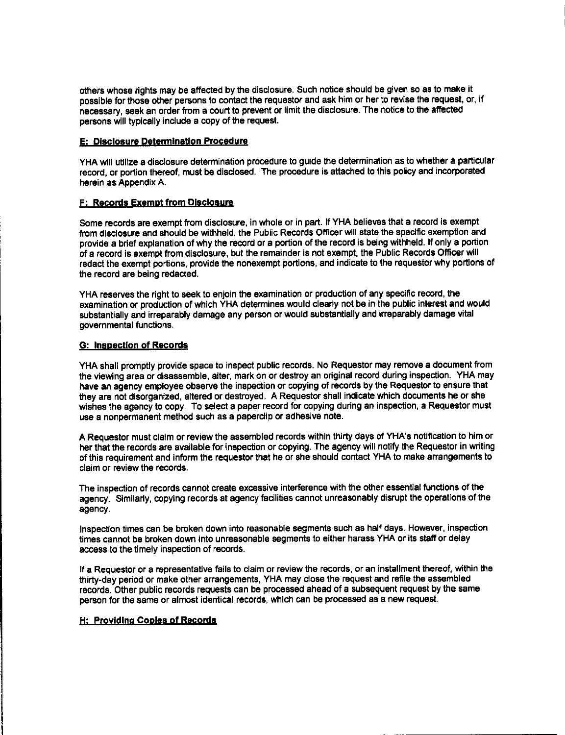others whose rights may be affected by the disclosure. Such notice should be given so as to make it possible for those other persons to contact the requestor and ask him or her to revise the request, or, if necessary, seek an order from a court to prevent or limit the disclosure. The notice to the affected persons will typically include a copy of the request.

#### E: Disclosure Determination Procedure

YHA will utilize a disclosure determination procedure to guide the determination as to whether a particular record, or portion thereof, must be disclosed. The procedure is attached to this policy and incorporated herein as Appendix A.

#### F: Records Exempt from Disclosure

Some records are exempt from disclosure, in whole or in part. If YHA believes that a record is exempt from disclosure and should be withheld, the Public Records Officer will state the specific exemption and provide a brief explanation of why the record or a portion of the record is being withheld. If only a portion of a record is exempt from disclosure, but the remainder is not exempt, the Public Records Officer will redact the exempt portions, provide the nonexempt portions, and indicate to the requestor why portions of the record are being redacted.

YHA reserves the right to seek to enjoin the examination or production of any specific record, the examination or production of which YHA determines would clearly not be in the public interest and would substantially and irreparably damage any person or would substantially and irreparably damage vital governmental functions.

#### G: Inspection of Records

YHA shall promptly provide space to inspect public records. No Requestor may remove a document from the viewing area or disassemble, alter, mark on or destroy an original record during inspection. YHA may have an agency employee observe the inspection or copying of records by the Requestor to ensure that they are not disorganized, altered or destroyed. A Requestor shall indicate which documents he or she wishes the agency to copy. To select a paper record for copying during an inspection, a Requestor must use a nonpermanent method such as a paperclip or adhesive note.

A Requestor must claim or review the assembled records within thirty days of YHA's notification to him or her that the records are available for inspection or copying. The agency will notify the Requestor in writing of this requirement and inform the requestor that he or she should contact YHA to make arrangements to claim or review the records.

The inspection of records cannot create excessive interference with the other essential functions of the agency. Similarly, copying records at agency facilities cannot unreasonably disrupt the operations of the agency

Inspection times can be broken down into reasonable segments such as half days. However, inspection times cannot be broken down into unreasonable segments to either harass YHA or its staff or delay access to the timely inspection of records.

If a Requestor or a representative fails to claim or review the records, or an installment thereof, within the thirty-day period or make other arrangements, YHA may close the request and refile the assembled records. Other public records requests can be processed ahead of a subsequent request by the same person for the same or almost identical records, which can be processed as a new request.

### H: Providing Copies of Records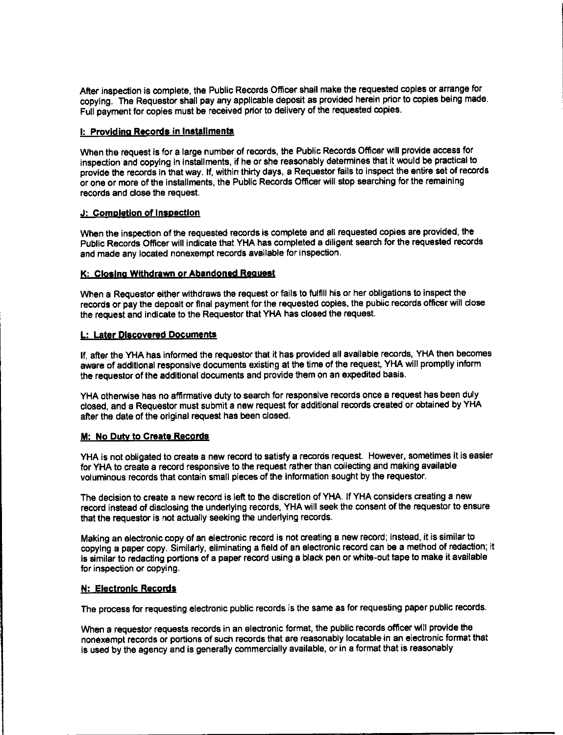After inspection is complete, the Public Records Officer shall make the requested copies or arrange for copying. The Requestor shall pay any applicable deposit as provided herein prior to copies being made. Full payment for copies must be received prior to delivery of the requested copies.

#### I: Providing Records in Installments

When the request is for a large number of records, the Public Records Officer will provide access for inspection and copying in installments, if he or she reasonably determines that it would be practical to provide the records in that way. If, within thirty days, a Requestor fails to inspect the entire set of records or one or more of the installments, the Public Records Officer will stop searching for the remaining records and close the request.

#### J: Completion of Inspection

When the inspection of the requested records is complete and all requested copies are provided, the Public Records Officer will indicate that YHA has completed a diligent search for the requested records and made any located nonexempt records available for inspection.

#### K: Closing Withdrawn or Abandoned Request

When a Requestor either withdraws the request or fails to fulfill his or her obligations to inspect the records or pay the deposit or final payment for the requested copies, the public records officer will close the request and indicate to the Requestor that YHA has closed the request.

#### L: Later Discovered Documents

If, after the YHA has informed the requestor that it has provided all available records, YHA then becomes aware of additional responsive documents existing at the time of the request, YHA will promptly inform the requestor of the additional documents and provide them on an expedited basis.

YHA otherwise has no affirmative duty to search for responsive records once a request has been duly closed, and a Requestor must submit a new request for additional records created or obtained by YHA after the date of the original request has been closed.

#### M: No Duty to Create Records

YHA is not obligated to create a new record to satisfy a records request. However, sometimes it is easier for YHA to create a record responsive to the request rather than collecting and making available voluminous records that contain small pieces of the information sought by the requestor.

The decision to create a new record is left to the discretion of YHA. If YHA considers creating a new record instead of disclosing the underlying records, YHA will seek the consent of the requestor to ensure that the requestor is not actually seeking the underlying records.

Making an electronic copy of an electronic record is not creating a new record; instead, it is similar to copying a paper copy. Similarly, eliminating a field of an electronic record can be a method of redaction; it is similar to redacting portions of a paper record using a black pen or white-out tape to make it available for inspection or copying.

#### N: Electronic Records

The process for requesting electronic public records is the same as for requesting paper public records.

When a requestor requests records in an electronic format, the public records officer will provide the nonexempt records or portions of such records that are reasonably locatable in an electronic format that is used by the agency and is generally commercially available, or in a format that is reasonably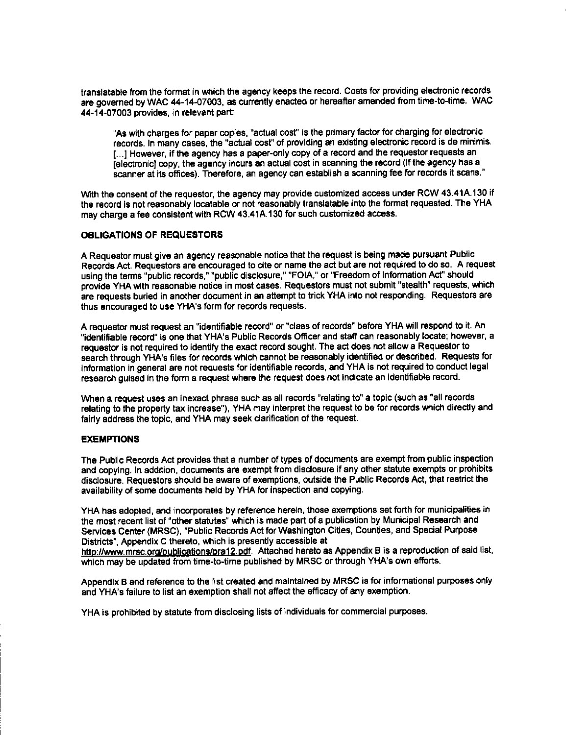translatable from the format in which the agency keeps the record. Costs for providing electronic records are governed by WAC 44-14-07003, as currently enacted or hereafter amended from time-to-time. WAC 44-14-07003 provides, in relevant part:

"As with charges for paper copies, "actual cost" is the primary factor for charging for electronic records. In many cases, the "actual cost" of providing an existing electronic record is de minimis. [...] However, if the agency has a paper-only copy of a record and the requestor requests an [electronic] copy, the agency incurs an actual cost in scanning the record (if the agency has a scanner at its offices). Therefore, an agency can establish a scanning fee for records it scans."

With the consent of the requestor, the agency may provide customized access under RCW 43.41A.130 if the record is not reasonably locatable or not reasonably translatable into the format requested. The YHA may charge a fee consistent with RCW 43.41A.130 for such customized access.

#### **OBLIGATIONS OF REQUESTORS**

A Requestor must give an agency reasonable notice that the request is being made pursuant Public Records Act. Requestors are encouraged to cite or name the act but are not required to do so. A request using the terms "public records," "public disclosure," "FOIA," or "Freedom of Information Act" should provide YHA with reasonable notice in most cases. Requestors must not submit "stealth" requests, which are requests buried in another document in an attempt to trick YHA into not responding. Requestors are thus encouraged to use YHA's form for records requests.

A requestor must request an "identifiable record" or "class of records" before YHA will respond to it. An "identifiable record" is one that YHA's Public Records Officer and staff can reasonably locate; however, a requestor is not required to identify the exact record sought. The act does not allow a Requestor to search through YHA's files for records which cannot be reasonably identified or described. Requests for information in general are not requests for identifiable records, and YHA is not required to conduct legal research quised in the form a request where the request does not indicate an identifiable record.

When a request uses an inexact phrase such as all records "relating to" a topic (such as "all records relating to the property tax increase"). YHA may interpret the request to be for records which directly and fairly address the topic, and YHA may seek clarification of the request.

#### **EXEMPTIONS**

The Public Records Act provides that a number of types of documents are exempt from public inspection and copying. In addition, documents are exempt from disclosure if any other statute exempts or prohibits disclosure. Requestors should be aware of exemptions, outside the Public Records Act, that restrict the availability of some documents held by YHA for inspection and copying.

YHA has adopted, and incorporates by reference herein, those exemptions set forth for municipalities in the most recent list of "other statutes" which is made part of a publication by Municipal Research and Services Center (MRSC), "Public Records Act for Washington Cities, Counties, and Special Purpose Districts". Appendix C thereto, which is presently accessible at

http://www.mrsc.org/publications/pra12.pdf. Attached hereto as Appendix B is a reproduction of said list, which may be updated from time-to-time published by MRSC or through YHA's own efforts.

Appendix B and reference to the list created and maintained by MRSC is for informational purposes only and YHA's failure to list an exemption shall not affect the efficacy of any exemption.

YHA is prohibited by statute from disclosing lists of individuals for commercial purposes.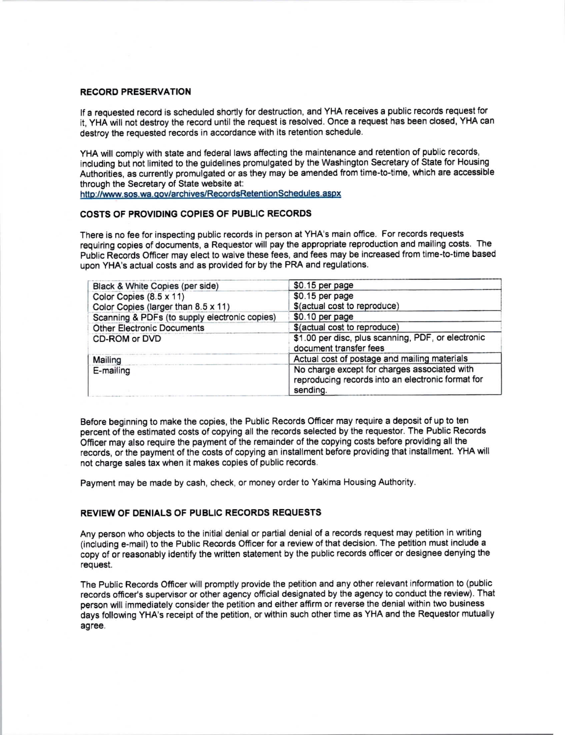#### **RECORD PRESERVATION**

If a requested record is scheduled shortly for destruction, and YHA receives a public records request for it, YHA will not destroy the record until the request is resolved. Once a request has been closed, YHA can destroy the requested records in accordance with its retention schedule.

YHA will comply with state and federal laws affecting the maintenance and retention of public records. including but not limited to the guidelines promulgated by the Washington Secretary of State for Housing Authorities, as currently promulgated or as they may be amended from time-to-time, which are accessible through the Secretary of State website at:

http://www.sos.wa.gov/archives/RecordsRetentionSchedules.aspx

#### COSTS OF PROVIDING COPIES OF PUBLIC RECORDS

There is no fee for inspecting public records in person at YHA's main office. For records requests requiring copies of documents, a Requestor will pay the appropriate reproduction and mailing costs. The Public Records Officer may elect to waive these fees, and fees may be increased from time-to-time based upon YHA's actual costs and as provided for by the PRA and regulations.

| Black & White Copies (per side)               | \$0.15 per page                                                                                               |
|-----------------------------------------------|---------------------------------------------------------------------------------------------------------------|
| Color Copies (8.5 x 11)                       | \$0.15 per page                                                                                               |
| Color Copies (larger than 8.5 x 11)           | \$(actual cost to reproduce)                                                                                  |
| Scanning & PDFs (to supply electronic copies) | \$0.10 per page                                                                                               |
| <b>Other Electronic Documents</b>             | \$(actual cost to reproduce)                                                                                  |
| CD-ROM or DVD                                 | \$1.00 per disc, plus scanning, PDF, or electronic<br>document transfer fees                                  |
| Mailing                                       | Actual cost of postage and mailing materials                                                                  |
| E-mailing                                     | No charge except for charges associated with<br>reproducing records into an electronic format for<br>sending. |

Before beginning to make the copies, the Public Records Officer may require a deposit of up to ten percent of the estimated costs of copying all the records selected by the requestor. The Public Records Officer may also require the payment of the remainder of the copying costs before providing all the records, or the payment of the costs of copying an installment before providing that installment. YHA will not charge sales tax when it makes copies of public records.

Payment may be made by cash, check, or money order to Yakima Housing Authority.

#### REVIEW OF DENIALS OF PUBLIC RECORDS REQUESTS

Any person who objects to the initial denial or partial denial of a records request may petition in writing (including e-mail) to the Public Records Officer for a review of that decision. The petition must include a copy of or reasonably identify the written statement by the public records officer or designee denying the request.

The Public Records Officer will promptly provide the petition and any other relevant information to (public records officer's supervisor or other agency official designated by the agency to conduct the review). That person will immediately consider the petition and either affirm or reverse the denial within two business days following YHA's receipt of the petition, or within such other time as YHA and the Requestor mutually agree.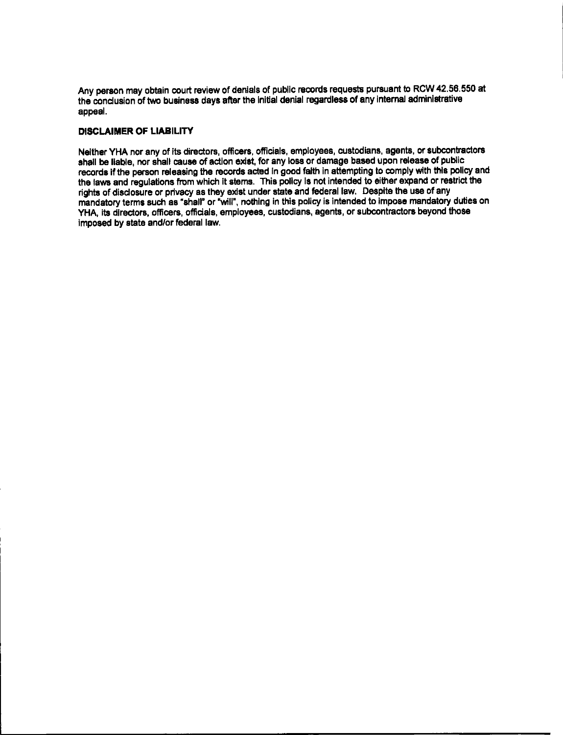Any person may obtain court review of denials of public records requests pursuant to RCW 42.56.550 at the conclusion of two business days after the initial denial regardless of any internal administrative appeal.

#### **DISCLAIMER OF LIABILITY**

Neither YHA nor any of its directors, officers, officials, employees, custodians, agents, or subcontractors shall be liable, nor shall cause of action exist, for any loss or damage based upon release of public records if the person releasing the records acted in good faith in attempting to comply with this policy and the laws and regulations from which it stems. This policy is not intended to either expand or restrict the rights of disclosure or privacy as they exist under state and federal law. Despite the use of any mandatory terms such as "shall" or "will", nothing in this policy is intended to impose mandatory duties on YHA, its directors, officers, officials, employees, custodians, agents, or subcontractors beyond those imposed by state and/or federal law.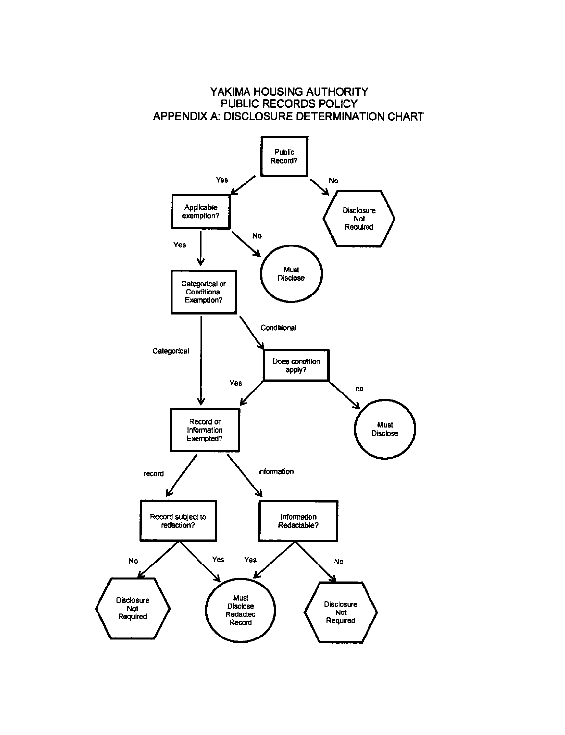

Disclose

Redacted

Record

Not

Required

Not

Required

# YAKIMA HOUSING AUTHORITY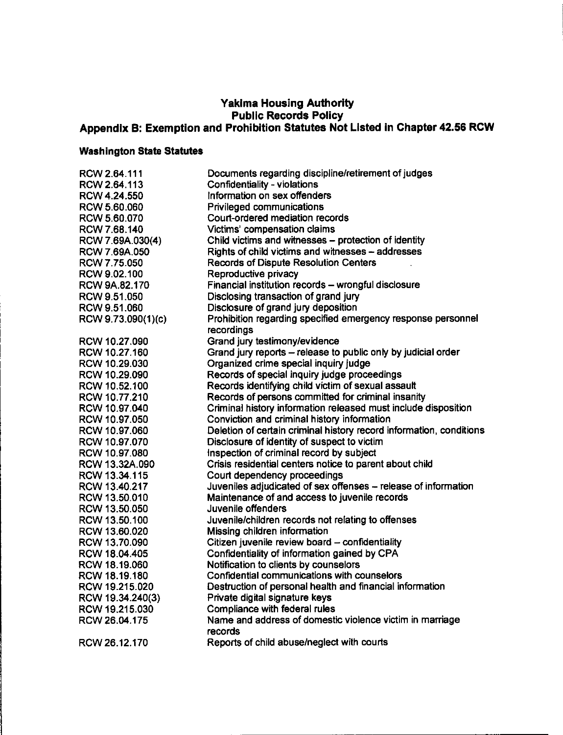# Yakima Housing Authority<br>Public Records Policy<br>Appendix B: Exemption and Prohibition Statutes Not Listed in Chapter 42.56 RCW

## **Washington State Statutes**

| RCW 2.64.111       | Documents regarding discipline/retirement of judges                        |
|--------------------|----------------------------------------------------------------------------|
| RCW 2.64.113       | <b>Confidentiality - violations</b>                                        |
| RCW 4.24.550       | Information on sex offenders                                               |
|                    | Privileged communications                                                  |
| RCW 5.60.060       | Court-ordered mediation records                                            |
| RCW 5.60.070       |                                                                            |
| RCW 7.68.140       | Victims' compensation claims                                               |
| RCW 7.69A.030(4)   | Child victims and witnesses - protection of identity                       |
| RCW 7.69A.050      | Rights of child victims and witnesses - addresses                          |
| RCW 7.75.050       | <b>Records of Dispute Resolution Centers</b>                               |
| RCW 9.02.100       | Reproductive privacy                                                       |
| RCW 9A.82.170      | Financial institution records - wrongful disclosure                        |
| RCW 9.51.050       | Disclosing transaction of grand jury                                       |
| RCW 9.51.060       | Disclosure of grand jury deposition                                        |
| RCW 9.73.090(1)(c) | Prohibition regarding specified emergency response personnel<br>recordings |
| RCW 10.27.090      | Grand jury testimony/evidence                                              |
| RCW 10.27.160      | Grand jury reports - release to public only by judicial order              |
| RCW 10.29.030      | Organized crime special inquiry judge                                      |
| RCW 10.29.090      | Records of special inquiry judge proceedings                               |
| RCW 10.52.100      | Records identifying child victim of sexual assault                         |
| RCW 10.77.210      | Records of persons committed for criminal insanity                         |
| RCW 10.97.040      | Criminal history information released must include disposition             |
| RCW 10.97.050      | Conviction and criminal history information                                |
| RCW 10.97.060      | Deletion of certain criminal history record information, conditions        |
| RCW 10.97.070      | Disclosure of identity of suspect to victim                                |
| RCW 10.97.080      | Inspection of criminal record by subject                                   |
| RCW 13.32A 090     | Crisis residential centers notice to parent about child                    |
| RCW 13.34.115      | Court dependency proceedings                                               |
| RCW 13.40.217      | Juveniles adjudicated of sex offenses - release of information             |
| RCW 13.50.010      | Maintenance of and access to juvenile records                              |
| RCW 13.50.050      | Juvenile offenders                                                         |
| RCW 13.50.100      | Juvenile/children records not relating to offenses                         |
| RCW 13.60.020      | Missing children information                                               |
| RCW 13.70.090      | Citizen juvenile review board - confidentiality                            |
| RCW 18.04.405      | Confidentiality of information gained by CPA                               |
| RCW 18.19.060      | Notification to clients by counselors                                      |
| RCW 18.19.180      | Confidential communications with counselors                                |
| RCW 19.215.020     | Destruction of personal health and financial information                   |
| RCW 19.34.240(3)   | Private digital signature keys                                             |
| RCW 19.215.030     | Compliance with federal rules                                              |
| RCW 26.04.175      | Name and address of domestic violence victim in marriage                   |
|                    | records                                                                    |
| RCW 26.12.170      | Reports of child abuse/neglect with courts                                 |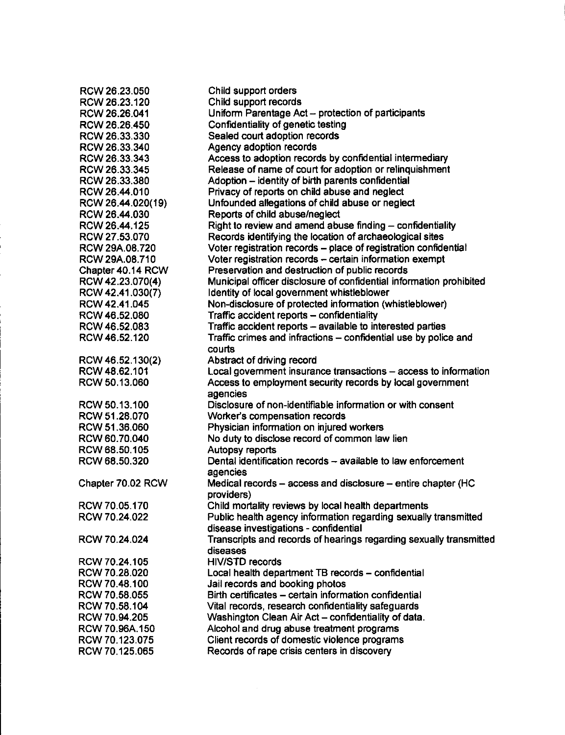| RCW 26.23.050     | Child support orders                                                |
|-------------------|---------------------------------------------------------------------|
| RCW 26.23.120     | Child support records                                               |
| RCW 26.26.041     | Uniform Parentage Act - protection of participants                  |
| RCW 26.26.450     | Confidentiality of genetic testing                                  |
| RCW 26.33.330     | Sealed court adoption records                                       |
| RCW 26.33.340     | Agency adoption records                                             |
| RCW 26.33.343     | Access to adoption records by confidential intermediary             |
| RCW 26.33.345     | Release of name of court for adoption or relinquishment             |
| RCW 26.33.380     | Adoption - identity of birth parents confidential                   |
| RCW 26.44.010     | Privacy of reports on child abuse and neglect                       |
| RCW 26.44.020(19) | Unfounded allegations of child abuse or neglect                     |
| RCW 26.44.030     | Reports of child abuse/neglect                                      |
| RCW 26.44.125     | Right to review and amend abuse finding $-$ confidentiality         |
| RCW 27.53.070     | Records identifying the location of archaeological sites            |
| RCW 29A.08.720    | Voter registration records - place of registration confidential     |
| RCW 29A.08.710    | Voter registration records - certain information exempt             |
| Chapter 40.14 RCW | Preservation and destruction of public records                      |
| RCW 42.23.070(4)  | Municipal officer disclosure of confidential information prohibited |
| RCW 42.41.030(7)  | Identity of local government whistleblower                          |
| RCW 42.41.045     | Non-disclosure of protected information (whistleblower)             |
| RCW 46.52.080     | Traffic accident reports - confidentiality                          |
| RCW 46.52.083     | Traffic accident reports - available to interested parties          |
| RCW 46.52.120     | Traffic crimes and infractions - confidential use by police and     |
|                   | courts                                                              |
| RCW 46.52.130(2)  | Abstract of driving record                                          |
| RCW 48.62.101     | Local government insurance transactions - access to information     |
| RCW 50.13.060     | Access to employment security records by local government           |
|                   | agencies                                                            |
| RCW 50.13.100     | Disclosure of non-identifiable information or with consent          |
| RCW 51.28.070     | Worker's compensation records                                       |
| RCW 51.36.060     | Physician information on injured workers                            |
| RCW 60.70.040     | No duty to disclose record of common law lien                       |
| RCW 68.50.105     | Autopsy reports                                                     |
| RCW 68.50.320     | Dental identification records - available to law enforcement        |
|                   | agencies                                                            |
| Chapter 70.02 RCW | Medical records – access and disclosure – entire chapter (HC        |
|                   | providers)                                                          |
| RCW 70.05.170     | Child mortality reviews by local health departments                 |
| RCW 70.24.022     | Public health agency information regarding sexually transmitted     |
|                   | disease investigations - confidential                               |
| RCW 70.24.024     | Transcripts and records of hearings regarding sexually transmitted  |
|                   | diseases                                                            |
| RCW 70.24.105     | <b>HIV/STD records</b>                                              |
| RCW 70.28.020     | Local health department TB records - confidential                   |
| RCW 70.48.100     | Jail records and booking photos                                     |
| RCW 70.58.055     | Birth certificates - certain information confidential               |
| RCW 70.58.104     | Vital records, research confidentiality safeguards                  |
| RCW 70.94.205     | Washington Clean Air Act - confidentiality of data.                 |
| RCW 70.96A.150    | Alcohol and drug abuse treatment programs                           |
| RCW 70.123.075    | Client records of domestic violence programs                        |
| RCW 70.125.065    | Records of rape crisis centers in discovery                         |
|                   |                                                                     |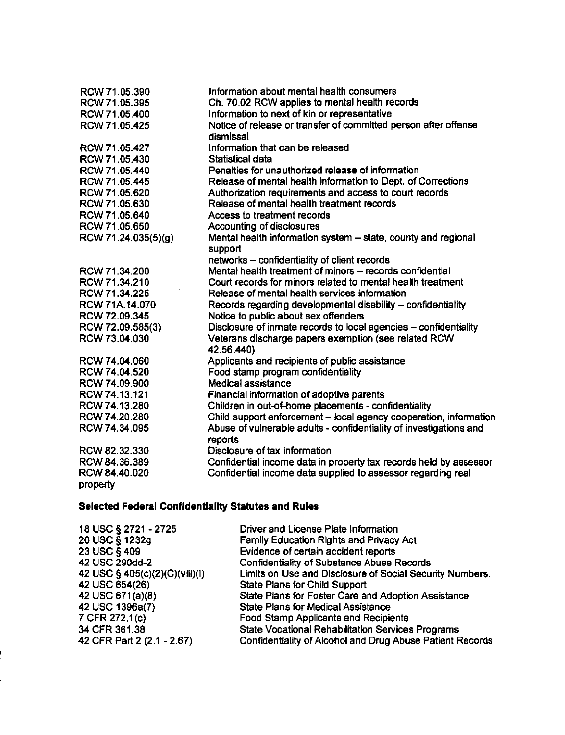| RCW 71.05.390       | Information about mental health consumers                          |
|---------------------|--------------------------------------------------------------------|
| RCW 71.05.395       | Ch. 70.02 RCW applies to mental health records                     |
| RCW 71.05.400       | Information to next of kin or representative                       |
| RCW 71.05.425       | Notice of release or transfer of committed person after offense    |
|                     | dismissal                                                          |
| RCW 71.05.427       | Information that can be released                                   |
| RCW 71.05.430       | Statistical data                                                   |
| RCW 71.05.440       | Penalties for unauthorized release of information                  |
| RCW 71.05.445       | Release of mental health information to Dept. of Corrections       |
| RCW 71.05.620       | Authorization requirements and access to court records             |
| RCW 71.05.630       | Release of mental health treatment records                         |
| RCW 71.05.640       | Access to treatment records                                        |
| RCW 71.05.650       | Accounting of disclosures                                          |
| RCW 71.24.035(5)(g) | Mental health information system - state, county and regional      |
|                     | support                                                            |
|                     | networks - confidentiality of client records                       |
| RCW 71.34.200       | Mental health treatment of minors - records confidential           |
| RCW 71.34.210       | Court records for minors related to mental health treatment        |
| RCW 71.34.225       | Release of mental health services information                      |
| RCW 71A.14.070      | Records regarding developmental disability - confidentiality       |
| RCW 72.09.345       | Notice to public about sex offenders                               |
| RCW 72.09.585(3)    | Disclosure of inmate records to local agencies - confidentiality   |
| RCW 73.04.030       | Veterans discharge papers exemption (see related RCW               |
|                     | 42.56.440)                                                         |
| RCW 74.04.060       | Applicants and recipients of public assistance                     |
| RCW 74.04.520       | Food stamp program confidentiality                                 |
| RCW 74.09.900       | Medical assistance                                                 |
| RCW 74.13.121       | Financial information of adoptive parents                          |
| RCW 74.13.280       | Children in out-of-home placements - confidentiality               |
| RCW 74.20.280       | Child support enforcement - local agency cooperation, information  |
| RCW 74.34.095       | Abuse of vulnerable adults - confidentiality of investigations and |
|                     | reports                                                            |
| RCW 82.32.330       | Disclosure of tax information                                      |
| RCW 84.36.389       | Confidential income data in property tax records held by assessor  |
| RCW 84,40.020       | Confidential income data supplied to assessor regarding real       |
| property            |                                                                    |
|                     |                                                                    |

# Selected Federal Confidentiality Statutes and Rules

| 18 USC § 2721 - 2725           | Driver and License Plate Information                      |
|--------------------------------|-----------------------------------------------------------|
| 20 USC § 1232g                 | <b>Family Education Rights and Privacy Act</b>            |
| 23 USC § 409                   | Evidence of certain accident reports                      |
| 42 USC 290dd-2                 | <b>Confidentiality of Substance Abuse Records</b>         |
| 42 USC § 405(c)(2)(C)(viii)(l) | Limits on Use and Disclosure of Social Security Numbers.  |
| 42 USC 654(26)                 | <b>State Plans for Child Support</b>                      |
| 42 USC 671(a)(8)               | State Plans for Foster Care and Adoption Assistance       |
| 42 USC 1396a(7)                | <b>State Plans for Medical Assistance</b>                 |
| 7 CFR 272.1(c)                 | <b>Food Stamp Applicants and Recipients</b>               |
| 34 CFR 361.38                  | <b>State Vocational Rehabilitation Services Programs</b>  |
| 42 CFR Part 2 (2.1 - 2.67)     | Confidentiality of Alcohol and Drug Abuse Patient Records |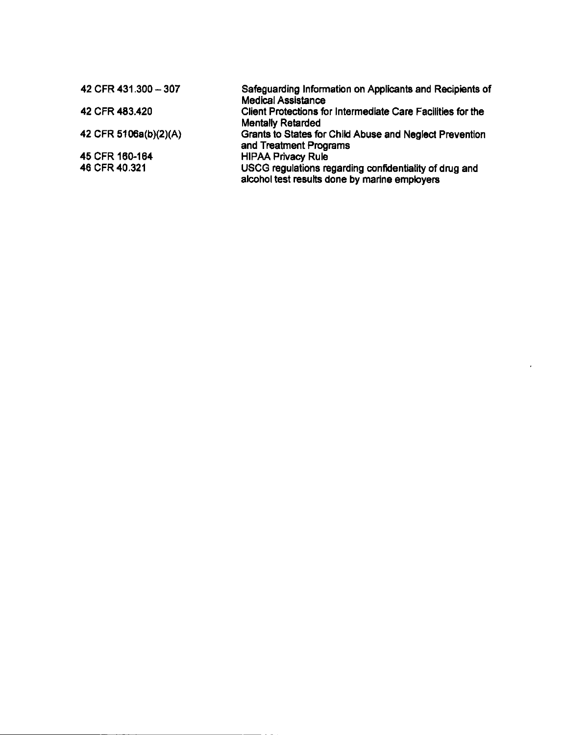| 42 CFR 431.300 - 307  | Safeguarding Information on Applicants and Recipients of<br><b>Medical Assistance</b>                   |
|-----------------------|---------------------------------------------------------------------------------------------------------|
| 42 CFR 483.420        | Client Protections for Intermediate Care Facilities for the<br><b>Mentally Retarded</b>                 |
| 42 CFR 5106a(b)(2)(A) | Grants to States for Child Abuse and Neglect Prevention<br>and Treatment Programs                       |
| 45 CFR 160-164        | <b>HIPAA Privacy Rule</b>                                                                               |
| 46 CFR 40.321         | USCG regulations regarding confidentiality of drug and<br>alcohol test results done by marine employers |

 $\mathbf{r}$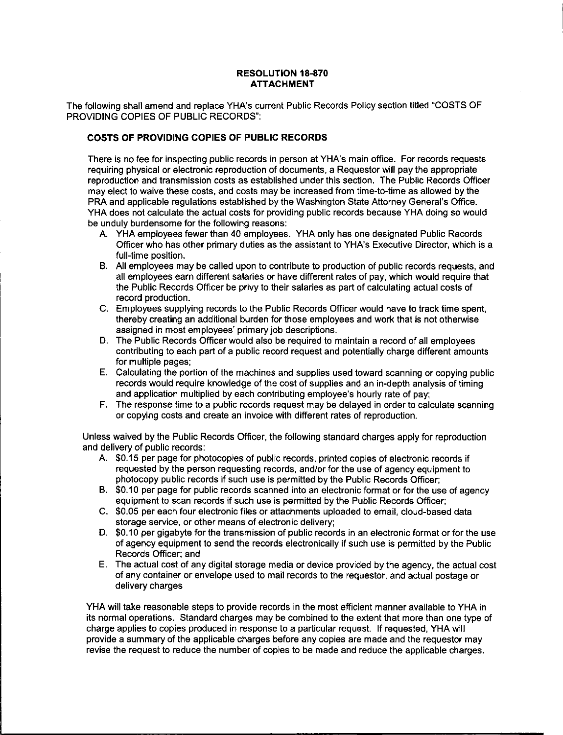#### **RESOLUTION 18-870 ATTACHMENT**

The following shall amend and replace YHA's current Public Records Policy section titled "COSTS OF **PROVIDING COPIES OF PUBLIC RECORDS":** 

#### **COSTS OF PROVIDING COPIES OF PUBLIC RECORDS**

There is no fee for inspecting public records in person at YHA's main office. For records requests requiring physical or electronic reproduction of documents, a Requestor will pay the appropriate reproduction and transmission costs as established under this section. The Public Records Officer may elect to waive these costs, and costs may be increased from time-to-time as allowed by the PRA and applicable regulations established by the Washington State Attorney General's Office. YHA does not calculate the actual costs for providing public records because YHA doing so would be unduly burdensome for the following reasons:

- A. YHA employees fewer than 40 employees. YHA only has one designated Public Records Officer who has other primary duties as the assistant to YHA's Executive Director, which is a full-time position.
- B. All employees may be called upon to contribute to production of public records requests, and all employees earn different salaries or have different rates of pay, which would require that the Public Records Officer be privy to their salaries as part of calculating actual costs of record production.
- C. Employees supplying records to the Public Records Officer would have to track time spent. thereby creating an additional burden for those employees and work that is not otherwise assigned in most employees' primary job descriptions.
- D. The Public Records Officer would also be required to maintain a record of all employees contributing to each part of a public record request and potentially charge different amounts for multiple pages;
- E. Calculating the portion of the machines and supplies used toward scanning or copying public records would require knowledge of the cost of supplies and an in-depth analysis of timing and application multiplied by each contributing employee's hourly rate of pay;
- F. The response time to a public records request may be delayed in order to calculate scanning or copying costs and create an invoice with different rates of reproduction.

Unless waived by the Public Records Officer, the following standard charges apply for reproduction and delivery of public records:

- A. \$0.15 per page for photocopies of public records, printed copies of electronic records if requested by the person requesting records, and/or for the use of agency equipment to photocopy public records if such use is permitted by the Public Records Officer:
- B. \$0.10 per page for public records scanned into an electronic format or for the use of agency equipment to scan records if such use is permitted by the Public Records Officer;
- C. \$0.05 per each four electronic files or attachments uploaded to email, cloud-based data storage service, or other means of electronic delivery:
- D. \$0.10 per gigabyte for the transmission of public records in an electronic format or for the use of agency equipment to send the records electronically if such use is permitted by the Public Records Officer; and
- E. The actual cost of any digital storage media or device provided by the agency, the actual cost of any container or envelope used to mail records to the requestor, and actual postage or delivery charges

YHA will take reasonable steps to provide records in the most efficient manner available to YHA in its normal operations. Standard charges may be combined to the extent that more than one type of charge applies to copies produced in response to a particular request. If requested, YHA will provide a summary of the applicable charges before any copies are made and the requestor may revise the request to reduce the number of copies to be made and reduce the applicable charges.